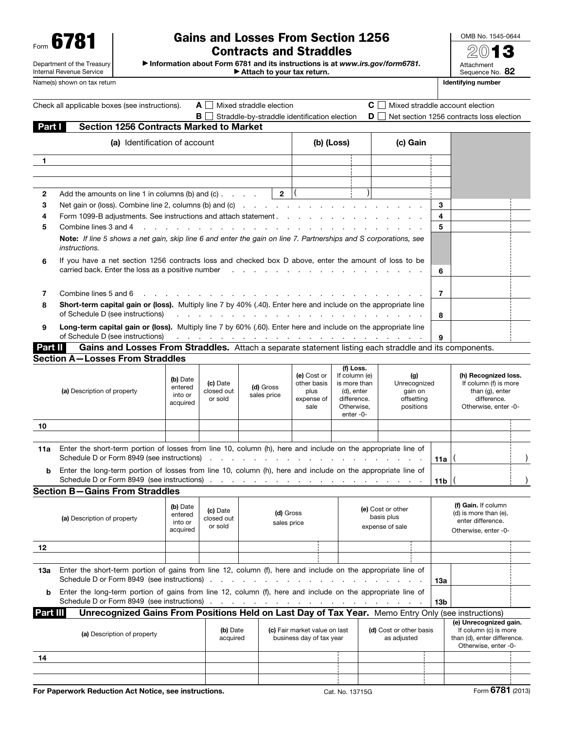Form 6781

### Department of the Treasury Internal Revenue Service

# Gains and Losses From Section 1256 Contracts and Straddles

OMB No. 1545-0644 2013 Attachment Sequence No. 82 Name(s) shown on tax return **IDENTIFYING** number of the state of the state of the state of the state of the state of the state of the state of the state of the state of the state of the state of the state of the state of t

▶ Information about Form 6781 and its instructions is at *www.irs.gov/form6781.*

▶ Attach to your tax return.

|          | Check all applicable boxes (see instructions).                                                                                                                                                                                             |                                                                                                                                                                                          | AII                               | Mixed straddle election                      |                                                          |                                                                                                   |                                                    |                                                           |                                                                                           |                 | $\mathbf{C} \square$ Mixed straddle account election                                                    |  |
|----------|--------------------------------------------------------------------------------------------------------------------------------------------------------------------------------------------------------------------------------------------|------------------------------------------------------------------------------------------------------------------------------------------------------------------------------------------|-----------------------------------|----------------------------------------------|----------------------------------------------------------|---------------------------------------------------------------------------------------------------|----------------------------------------------------|-----------------------------------------------------------|-------------------------------------------------------------------------------------------|-----------------|---------------------------------------------------------------------------------------------------------|--|
| Part I   | <b>Section 1256 Contracts Marked to Market</b>                                                                                                                                                                                             | BI                                                                                                                                                                                       |                                   | Straddle-by-straddle identification election |                                                          |                                                                                                   | DII                                                |                                                           |                                                                                           |                 | Net section 1256 contracts loss election                                                                |  |
|          |                                                                                                                                                                                                                                            |                                                                                                                                                                                          |                                   |                                              |                                                          |                                                                                                   |                                                    |                                                           |                                                                                           |                 |                                                                                                         |  |
|          | (a) Identification of account                                                                                                                                                                                                              |                                                                                                                                                                                          |                                   |                                              |                                                          | (b) (Loss)                                                                                        |                                                    | (c) Gain                                                  |                                                                                           |                 |                                                                                                         |  |
| 1        |                                                                                                                                                                                                                                            |                                                                                                                                                                                          |                                   |                                              |                                                          |                                                                                                   |                                                    |                                                           |                                                                                           |                 |                                                                                                         |  |
|          |                                                                                                                                                                                                                                            |                                                                                                                                                                                          |                                   |                                              |                                                          |                                                                                                   |                                                    |                                                           |                                                                                           |                 |                                                                                                         |  |
|          |                                                                                                                                                                                                                                            |                                                                                                                                                                                          |                                   |                                              |                                                          |                                                                                                   |                                                    |                                                           |                                                                                           |                 |                                                                                                         |  |
| 2<br>3   | Add the amounts on line 1 in columns (b) and (c) $\ldots$                                                                                                                                                                                  |                                                                                                                                                                                          |                                   | $2 \mid ($                                   |                                                          |                                                                                                   |                                                    |                                                           |                                                                                           | 3               |                                                                                                         |  |
| 4        |                                                                                                                                                                                                                                            | Net gain or (loss). Combine line 2, columns (b) and (c) $\ldots$ $\ldots$ $\ldots$ $\ldots$ $\ldots$ $\ldots$ $\ldots$<br>Form 1099-B adjustments. See instructions and attach statement |                                   |                                              |                                                          |                                                                                                   |                                                    |                                                           | 4                                                                                         |                 |                                                                                                         |  |
| 5        | Combine lines 3 and 4                                                                                                                                                                                                                      |                                                                                                                                                                                          |                                   |                                              |                                                          |                                                                                                   |                                                    |                                                           |                                                                                           | 5               |                                                                                                         |  |
|          | Note: If line 5 shows a net gain, skip line 6 and enter the gain on line 7. Partnerships and S corporations, see<br><i>instructions.</i>                                                                                                   |                                                                                                                                                                                          |                                   |                                              |                                                          |                                                                                                   |                                                    |                                                           |                                                                                           |                 |                                                                                                         |  |
| 6        | If you have a net section 1256 contracts loss and checked box D above, enter the amount of loss to be                                                                                                                                      |                                                                                                                                                                                          |                                   |                                              |                                                          |                                                                                                   |                                                    |                                                           |                                                                                           |                 |                                                                                                         |  |
|          | carried back. Enter the loss as a positive number<br>the company of the company of the company                                                                                                                                             |                                                                                                                                                                                          |                                   |                                              |                                                          |                                                                                                   |                                                    |                                                           |                                                                                           | 6               |                                                                                                         |  |
|          |                                                                                                                                                                                                                                            |                                                                                                                                                                                          |                                   |                                              |                                                          |                                                                                                   |                                                    |                                                           |                                                                                           |                 |                                                                                                         |  |
| 7        | Combine lines 5 and 6<br>Short-term capital gain or (loss). Multiply line 7 by 40% (.40). Enter here and include on the appropriate line                                                                                                   |                                                                                                                                                                                          |                                   |                                              |                                                          |                                                                                                   |                                                    |                                                           |                                                                                           | $\overline{7}$  |                                                                                                         |  |
| 8        | of Schedule D (see instructions)                                                                                                                                                                                                           |                                                                                                                                                                                          |                                   |                                              |                                                          |                                                                                                   |                                                    |                                                           |                                                                                           | 8               |                                                                                                         |  |
| 9        | Long-term capital gain or (loss). Multiply line 7 by 60% (.60). Enter here and include on the appropriate line<br>of Schedule D (see instructions)<br>9<br>the contract of the contract of the contract of the contract of the contract of |                                                                                                                                                                                          |                                   |                                              |                                                          |                                                                                                   |                                                    |                                                           |                                                                                           |                 |                                                                                                         |  |
| Part II  | Gains and Losses From Straddles. Attach a separate statement listing each straddle and its components.                                                                                                                                     |                                                                                                                                                                                          |                                   |                                              |                                                          |                                                                                                   |                                                    |                                                           |                                                                                           |                 |                                                                                                         |  |
|          | <b>Section A-Losses From Straddles</b>                                                                                                                                                                                                     |                                                                                                                                                                                          |                                   |                                              |                                                          |                                                                                                   |                                                    |                                                           |                                                                                           |                 |                                                                                                         |  |
|          | (a) Description of property                                                                                                                                                                                                                | (b) Date<br>entered<br>into or<br>acquired                                                                                                                                               | (c) Date<br>closed out<br>or sold | (d) Gross<br>sales price                     | (e) Cost or<br>other basis<br>plus<br>expense of<br>sale | (f) Loss.<br>If column (e)<br>is more than<br>(d), enter<br>difference.<br>Otherwise,<br>enter-0- |                                                    | (g)<br>Unrecognized<br>gain on<br>offsetting<br>positions |                                                                                           |                 | (h) Recognized loss.<br>If column (f) is more<br>than (g), enter<br>difference.<br>Otherwise, enter -0- |  |
| 10       |                                                                                                                                                                                                                                            |                                                                                                                                                                                          |                                   |                                              |                                                          |                                                                                                   |                                                    |                                                           |                                                                                           |                 |                                                                                                         |  |
|          |                                                                                                                                                                                                                                            |                                                                                                                                                                                          |                                   |                                              |                                                          |                                                                                                   |                                                    |                                                           |                                                                                           |                 |                                                                                                         |  |
| 11a      | Enter the short-term portion of losses from line 10, column (h), here and include on the appropriate line of<br>Schedule D or Form 8949 (see instructions)                                                                                 |                                                                                                                                                                                          |                                   |                                              |                                                          | and the company of the company of                                                                 |                                                    |                                                           |                                                                                           | 11a             |                                                                                                         |  |
| b        |                                                                                                                                                                                                                                            | Enter the long-term portion of losses from line 10, column (h), here and include on the appropriate line of                                                                              |                                   |                                              |                                                          |                                                                                                   |                                                    |                                                           | 11 <sub>b</sub>                                                                           |                 |                                                                                                         |  |
|          | <b>Section B-Gains From Straddles</b>                                                                                                                                                                                                      |                                                                                                                                                                                          |                                   |                                              |                                                          |                                                                                                   |                                                    |                                                           |                                                                                           |                 |                                                                                                         |  |
|          | (a) Description of property                                                                                                                                                                                                                | (b) Date<br>entered<br>into or<br>acquired                                                                                                                                               | (c) Date<br>closed out<br>or sold | (d) Gross<br>sales price                     |                                                          |                                                                                                   | (e) Cost or other<br>basis plus<br>expense of sale |                                                           | (f) Gain. If column<br>(d) is more than (e),<br>enter difference.<br>Otherwise, enter -0- |                 |                                                                                                         |  |
| 12       |                                                                                                                                                                                                                                            |                                                                                                                                                                                          |                                   |                                              |                                                          |                                                                                                   |                                                    |                                                           |                                                                                           |                 |                                                                                                         |  |
|          |                                                                                                                                                                                                                                            |                                                                                                                                                                                          |                                   |                                              |                                                          |                                                                                                   |                                                    |                                                           |                                                                                           |                 |                                                                                                         |  |
| 13a      | Enter the short-term portion of gains from line 12, column (f), here and include on the appropriate line of<br>Schedule D or Form 8949 (see instructions)                                                                                  |                                                                                                                                                                                          |                                   |                                              |                                                          |                                                                                                   |                                                    |                                                           |                                                                                           | 13а             |                                                                                                         |  |
| b        | Enter the long-term portion of gains from line 12, column (f), here and include on the appropriate line of                                                                                                                                 |                                                                                                                                                                                          |                                   |                                              |                                                          |                                                                                                   |                                                    |                                                           |                                                                                           | 13 <sub>b</sub> |                                                                                                         |  |
| Part III | Unrecognized Gains From Positions Held on Last Day of Tax Year. Memo Entry Only (see instructions)                                                                                                                                         |                                                                                                                                                                                          |                                   |                                              |                                                          |                                                                                                   |                                                    |                                                           |                                                                                           |                 |                                                                                                         |  |
|          | (a) Description of property                                                                                                                                                                                                                |                                                                                                                                                                                          |                                   | (b) Date<br>acquired                         |                                                          | (c) Fair market value on last<br>business day of tax year                                         |                                                    | (d) Cost or other basis<br>as adjusted                    |                                                                                           |                 | (e) Unrecognized gain.<br>If column (c) is more<br>than (d), enter difference.<br>Otherwise, enter -0-  |  |
| 14       |                                                                                                                                                                                                                                            |                                                                                                                                                                                          |                                   |                                              |                                                          |                                                                                                   |                                                    |                                                           |                                                                                           |                 |                                                                                                         |  |
|          |                                                                                                                                                                                                                                            |                                                                                                                                                                                          |                                   |                                              |                                                          |                                                                                                   |                                                    |                                                           |                                                                                           |                 |                                                                                                         |  |
|          |                                                                                                                                                                                                                                            |                                                                                                                                                                                          |                                   |                                              |                                                          |                                                                                                   |                                                    |                                                           |                                                                                           |                 |                                                                                                         |  |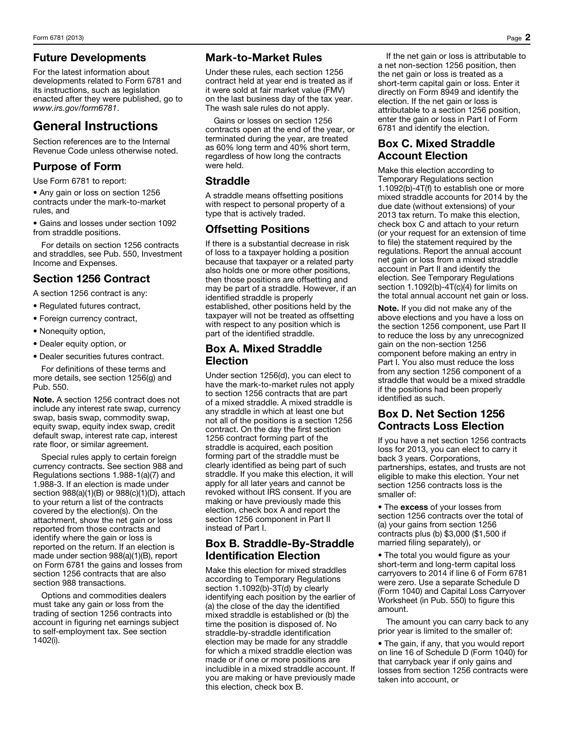### Future Developments

For the latest information about developments related to Form 6781 and its instructions, such as legislation enacted after they were published, go to *www.irs.gov/form6781*.

# General Instructions

Section references are to the Internal Revenue Code unless otherwise noted.

### Purpose of Form

Use Form 6781 to report:

• Any gain or loss on section 1256 contracts under the mark-to-market rules, and

• Gains and losses under section 1092 from straddle positions.

For details on section 1256 contracts and straddles, see Pub. 550, Investment Income and Expenses.

# Section 1256 Contract

A section 1256 contract is any:

- Regulated futures contract,
- Foreign currency contract,
- Nonequity option,
- Dealer equity option, or
- Dealer securities futures contract.

For definitions of these terms and more details, see section 1256(g) and Pub. 550.

Note. A section 1256 contract does not include any interest rate swap, currency swap, basis swap, commodity swap, equity swap, equity index swap, credit default swap, interest rate cap, interest rate floor, or similar agreement.

Special rules apply to certain foreign currency contracts. See section 988 and Regulations sections 1.988-1(a)(7) and 1.988-3. If an election is made under section 988(a)(1)(B) or 988(c)(1)(D), attach to your return a list of the contracts covered by the election(s). On the attachment, show the net gain or loss reported from those contracts and identify where the gain or loss is reported on the return. If an election is made under section 988(a)(1)(B), report on Form 6781 the gains and losses from section 1256 contracts that are also section 988 transactions.

Options and commodities dealers must take any gain or loss from the trading of section 1256 contracts into account in figuring net earnings subject to self-employment tax. See section 1402(i).

### Mark-to-Market Rules

Under these rules, each section 1256 contract held at year end is treated as if it were sold at fair market value (FMV) on the last business day of the tax year. The wash sale rules do not apply.

Gains or losses on section 1256 contracts open at the end of the year, or terminated during the year, are treated as 60% long term and 40% short term, regardless of how long the contracts were held.

### **Straddle**

A straddle means offsetting positions with respect to personal property of a type that is actively traded.

### Offsetting Positions

If there is a substantial decrease in risk of loss to a taxpayer holding a position because that taxpayer or a related party also holds one or more other positions, then those positions are offsetting and may be part of a straddle. However, if an identified straddle is properly established, other positions held by the taxpayer will not be treated as offsetting with respect to any position which is part of the identified straddle.

### Box A. Mixed Straddle **Election**

Under section 1256(d), you can elect to have the mark-to-market rules not apply to section 1256 contracts that are part of a mixed straddle. A mixed straddle is any straddle in which at least one but not all of the positions is a section 1256 contract. On the day the first section 1256 contract forming part of the straddle is acquired, each position forming part of the straddle must be clearly identified as being part of such straddle. If you make this election, it will apply for all later years and cannot be revoked without IRS consent. If you are making or have previously made this election, check box A and report the section 1256 component in Part II instead of Part I.

### Box B. Straddle-By-Straddle Identification Election

Make this election for mixed straddles according to Temporary Regulations section 1.1092(b)-3T(d) by clearly identifying each position by the earlier of (a) the close of the day the identified mixed straddle is established or (b) the time the position is disposed of. No straddle-by-straddle identification election may be made for any straddle for which a mixed straddle election was made or if one or more positions are includible in a mixed straddle account. If you are making or have previously made this election, check box B.

If the net gain or loss is attributable to a net non-section 1256 position, then the net gain or loss is treated as a short-term capital gain or loss. Enter it directly on Form 8949 and identify the election. If the net gain or loss is attributable to a section 1256 position, enter the gain or loss in Part I of Form 6781 and identify the election.

### Box C. Mixed Straddle Account Election

Make this election according to Temporary Regulations section 1.1092(b)-4T(f) to establish one or more mixed straddle accounts for 2014 by the due date (without extensions) of your 2013 tax return. To make this election, check box C and attach to your return (or your request for an extension of time to file) the statement required by the regulations. Report the annual account net gain or loss from a mixed straddle account in Part II and identify the election. See Temporary Regulations section 1.1092(b)-4T(c)(4) for limits on the total annual account net gain or loss.

Note. If you did not make any of the above elections and you have a loss on the section 1256 component, use Part II to reduce the loss by any unrecognized gain on the non-section 1256 component before making an entry in Part I. You also must reduce the loss from any section 1256 component of a straddle that would be a mixed straddle if the positions had been properly identified as such.

### Box D. Net Section 1256 Contracts Loss Election

If you have a net section 1256 contracts loss for 2013, you can elect to carry it back 3 years. Corporations, partnerships, estates, and trusts are not eligible to make this election. Your net section 1256 contracts loss is the smaller of:

• The excess of your losses from section 1256 contracts over the total of (a) your gains from section 1256 contracts plus (b) \$3,000 (\$1,500 if married filing separately), or

• The total you would figure as your short-term and long-term capital loss carryovers to 2014 if line 6 of Form 6781 were zero. Use a separate Schedule D (Form 1040) and Capital Loss Carryover Worksheet (in Pub. 550) to figure this amount.

The amount you can carry back to any prior year is limited to the smaller of:

• The gain, if any, that you would report on line 16 of Schedule D (Form 1040) for that carryback year if only gains and losses from section 1256 contracts were taken into account, or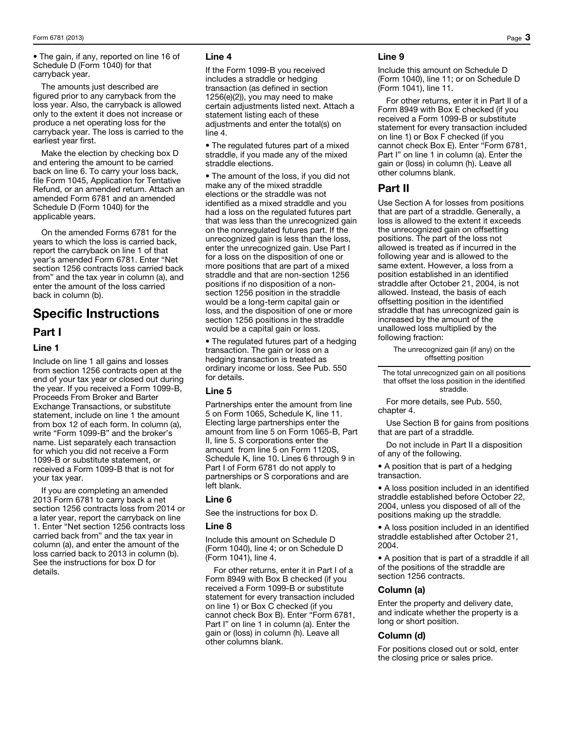• The gain, if any, reported on line 16 of Schedule D (Form 1040) for that carryback year.

The amounts just described are figured prior to any carryback from the loss year. Also, the carryback is allowed only to the extent it does not increase or produce a net operating loss for the carryback year. The loss is carried to the earliest year first.

Make the election by checking box D and entering the amount to be carried back on line 6. To carry your loss back, file Form 1045, Application for Tentative Refund, or an amended return. Attach an amended Form 6781 and an amended Schedule D (Form 1040) for the applicable years.

On the amended Forms 6781 for the years to which the loss is carried back, report the carryback on line 1 of that year's amended Form 6781. Enter "Net section 1256 contracts loss carried back from" and the tax year in column (a), and enter the amount of the loss carried back in column (b).

# Specific Instructions

#### Part I

#### Line 1

Include on line 1 all gains and losses from section 1256 contracts open at the end of your tax year or closed out during the year. If you received a Form 1099-B, Proceeds From Broker and Barter Exchange Transactions, or substitute statement, include on line 1 the amount from box 12 of each form. In column (a), write "Form 1099-B" and the broker's name. List separately each transaction for which you did not receive a Form 1099-B or substitute statement, or received a Form 1099-B that is not for your tax year.

If you are completing an amended 2013 Form 6781 to carry back a net section 1256 contracts loss from 2014 or a later year, report the carryback on line 1. Enter "Net section 1256 contracts loss carried back from" and the tax year in column (a), and enter the amount of the loss carried back to 2013 in column (b). See the instructions for box D for details.

#### Line 4

If the Form 1099-B you received includes a straddle or hedging transaction (as defined in section 1256(e)(2)), you may need to make certain adjustments listed next. Attach a statement listing each of these adjustments and enter the total(s) on line 4.

• The regulated futures part of a mixed straddle, if you made any of the mixed straddle elections.

• The amount of the loss, if you did not make any of the mixed straddle elections or the straddle was not identified as a mixed straddle and you had a loss on the regulated futures part that was less than the unrecognized gain on the nonregulated futures part. If the unrecognized gain is less than the loss, enter the unrecognized gain. Use Part I for a loss on the disposition of one or more positions that are part of a mixed straddle and that are non-section 1256 positions if no disposition of a nonsection 1256 position in the straddle would be a long-term capital gain or loss, and the disposition of one or more section 1256 positions in the straddle would be a capital gain or loss.

• The regulated futures part of a hedging transaction. The gain or loss on a hedging transaction is treated as ordinary income or loss. See Pub. 550 for details.

#### Line 5

Partnerships enter the amount from line 5 on Form 1065, Schedule K, line 11. Electing large partnerships enter the amount from line 5 on Form 1065-B, Part II, line 5. S corporations enter the amount from line 5 on Form 1120S, Schedule K, line 10. Lines 6 through 9 in Part I of Form 6781 do not apply to partnerships or S corporations and are left blank.

#### Line 6

See the instructions for box D.

#### Line 8

Include this amount on Schedule D (Form 1040), line 4; or on Schedule D (Form 1041), line 4.

For other returns, enter it in Part I of a Form 8949 with Box B checked (if you received a Form 1099-B or substitute statement for every transaction included on line 1) or Box C checked (if you cannot check Box B). Enter "Form 6781, Part I" on line 1 in column (a). Enter the gain or (loss) in column (h). Leave all other columns blank.

#### Line 9

Include this amount on Schedule D (Form 1040), line 11; or on Schedule D (Form 1041), line 11.

For other returns, enter it in Part II of a Form 8949 with Box E checked (if you received a Form 1099-B or substitute statement for every transaction included on line 1) or Box F checked (if you cannot check Box E). Enter "Form 6781, Part I" on line 1 in column (a). Enter the gain or (loss) in column (h). Leave all other columns blank.

### Part II

Use Section A for losses from positions that are part of a straddle. Generally, a loss is allowed to the extent it exceeds the unrecognized gain on offsetting positions. The part of the loss not allowed is treated as if incurred in the following year and is allowed to the same extent. However, a loss from a position established in an identified straddle after October 21, 2004, is not allowed. Instead, the basis of each offsetting position in the identified straddle that has unrecognized gain is increased by the amount of the unallowed loss multiplied by the following fraction:

> The unrecognized gain (if any) on the offsetting position

The total unrecognized gain on all positions that offset the loss position in the identified straddle.

For more details, see Pub. 550, chapter 4.

Use Section B for gains from positions that are part of a straddle.

Do not include in Part II a disposition of any of the following.

• A position that is part of a hedging transaction.

• A loss position included in an identified straddle established before October 22, 2004, unless you disposed of all of the positions making up the straddle.

• A loss position included in an identified straddle established after October 21, 2004.

• A position that is part of a straddle if all of the positions of the straddle are section 1256 contracts.

#### Column (a)

Enter the property and delivery date, and indicate whether the property is a long or short position.

#### Column (d)

For positions closed out or sold, enter the closing price or sales price.